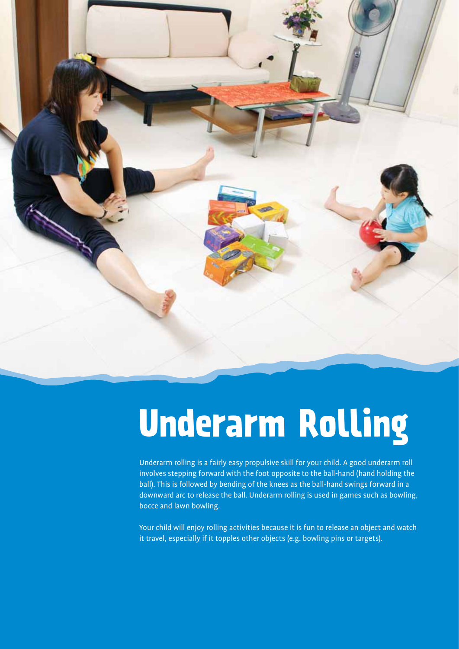

# **Underarm Rolling**

Underarm rolling is a fairly easy propulsive skill for your child. A good underarm roll involves stepping forward with the foot opposite to the ball-hand (hand holding the ball). This is followed by bending of the knees as the ball-hand swings forward in a downward arc to release the ball. Underarm rolling is used in games such as bowling, bocce and lawn bowling.

Your child will enjoy rolling activities because it is fun to release an object and watch it travel, especially if it topples other objects (e.g. bowling pins or targets).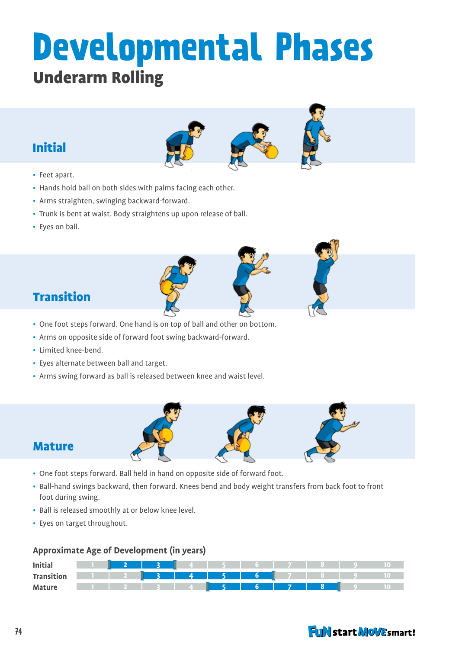## **Developmental Phases** Underarm Rolling

## Initial

- Feet apart.
- Hands hold ball on both sides with palms facing each other.
- Arms straighten, swinging backward-forward.
- Trunk is bent at waist. Body straightens up upon release of ball.
- Eyes on ball.



## Transition

- One foot steps forward. One hand is on top of ball and other on bottom.
- Arms on opposite side of forward foot swing backward-forward.
- Limited knee-bend.
- Eyes alternate between ball and target.
- Arms swing forward as ball is released between knee and waist level.



- One foot steps forward. Ball held in hand on opposite side of forward foot.
- Ball-hand swings backward, then forward. Knees bend and body weight transfers from back foot to front foot during swing.
- Ball is released smoothly at or below knee level.
- Eyes on target throughout.

#### **Approximate Age of Development (in years)**

| <b>Initial</b>    |  |                |                                                                                                                                                                                                                                      |   |     |  |  |
|-------------------|--|----------------|--------------------------------------------------------------------------------------------------------------------------------------------------------------------------------------------------------------------------------------|---|-----|--|--|
| <b>Transition</b> |  | $\overline{A}$ | <u> - an an Ann an Aon an Aon an Aon an Aon an an Aon an Aon an Aon an Aon an Aon an Aon an Aon an Aon an Aon am Aon am Aon am Aon am Aon am Aon am Aon am Aon am Aon am Aon am Aon am Aon am Aon am am am dùthchun an dùthchun </u> | 6 |     |  |  |
| <b>Mature</b>     |  |                |                                                                                                                                                                                                                                      |   | - 7 |  |  |

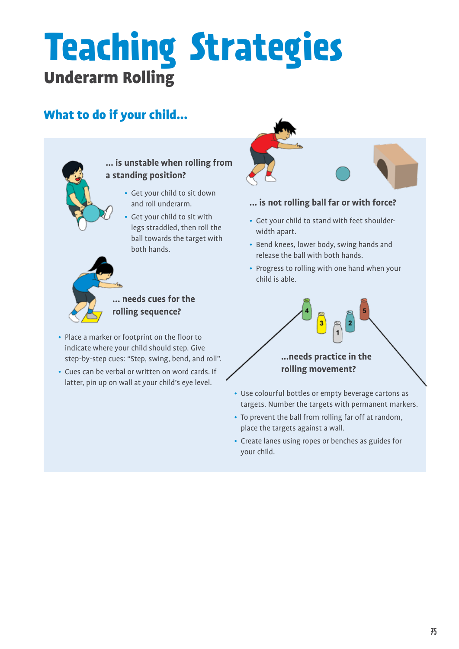## **Teaching Strategies** Underarm Rolling

## What to do if your child...



#### **... is unstable when rolling from a standing position?**

- Get your child to sit down and roll underarm.
- Get your child to sit with legs straddled, then roll the ball towards the target with both hands.



### **... needs cues for the rolling sequence?**

- Place a marker or footprint on the floor to indicate where your child should step. Give step-by-step cues: "Step, swing, bend, and roll".
- Cues can be verbal or written on word cards. If latter, pin up on wall at your child's eye level.



#### **... is not rolling ball far or with force?**

- Get your child to stand with feet shoulderwidth apart.
- Bend knees, lower body, swing hands and release the ball with both hands.
- Progress to rolling with one hand when your child is able.

## **...needs practice in the rolling movement?**

3

- Use colourful bottles or empty beverage cartons as targets. Number the targets with permanent markers.
- To prevent the ball from rolling far off at random, place the targets against a wall.
- Create lanes using ropes or benches as guides for your child.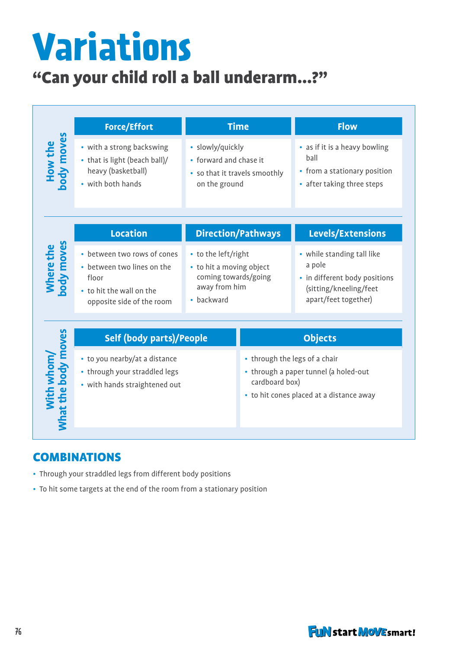# **Variations**

## "Can your child roll a ball underarm...?"

|                                   | <b>Force/Effort</b>                                                                                                         | <b>Time</b>                                                                                            |                                                                                                                                      | <b>Flow</b>                                                                                                             |  |  |
|-----------------------------------|-----------------------------------------------------------------------------------------------------------------------------|--------------------------------------------------------------------------------------------------------|--------------------------------------------------------------------------------------------------------------------------------------|-------------------------------------------------------------------------------------------------------------------------|--|--|
| How the<br>body moves             | • with a strong backswing<br>• that is light (beach ball)/<br>heavy (basketball)<br>• with both hands                       | · slowly/quickly<br>• forward and chase it<br>• so that it travels smoothly<br>on the ground           |                                                                                                                                      | • as if it is a heavy bowling<br>ball<br>• from a stationary position<br>• after taking three steps                     |  |  |
|                                   | <b>Location</b>                                                                                                             | <b>Direction/Pathways</b>                                                                              |                                                                                                                                      | Levels/Extensions                                                                                                       |  |  |
| Where the<br>body moves           | • between two rows of cones<br>• between two lines on the<br>floor<br>• to hit the wall on the<br>opposite side of the room | • to the left/right<br>• to hit a moving object<br>coming towards/going<br>away from him<br>• backward |                                                                                                                                      | • while standing tall like<br>a pole<br>• in different body positions<br>(sitting/kneeling/feet<br>apart/feet together) |  |  |
| With whom/<br>Mhat the body moves | <b>Self (body parts)/People</b>                                                                                             |                                                                                                        | <b>Objects</b>                                                                                                                       |                                                                                                                         |  |  |
|                                   | • to you nearby/at a distance<br>• through your straddled legs<br>• with hands straightened out                             |                                                                                                        | • through the legs of a chair<br>• through a paper tunnel (a holed-out<br>cardboard box)<br>• to hit cones placed at a distance away |                                                                                                                         |  |  |

## **COMBINATIONS**

- Through your straddled legs from different body positions
- To hit some targets at the end of the room from a stationary position

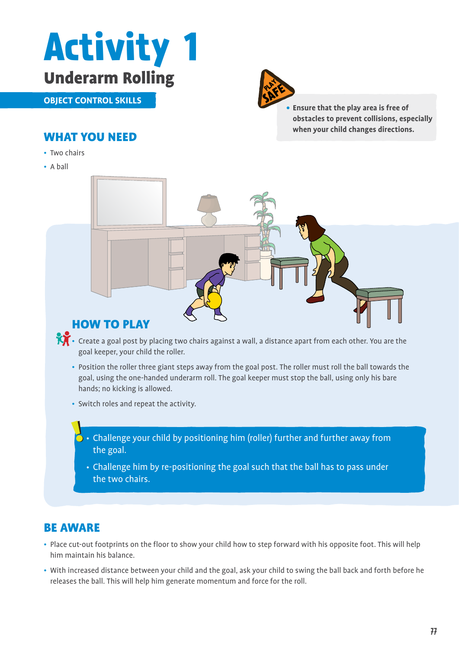

**object control skills**



**• Ensure that the play area is free of obstacles to prevent collisions, especially when your child changes directions.**

## What you need

- Two chairs
- A ball



- Create a goal post by placing two chairs against a wall, a distance apart from each other. You are the goal keeper, your child the roller.
	- Position the roller three giant steps away from the goal post. The roller must roll the ball towards the goal, using the one-handed underarm roll. The goal keeper must stop the ball, using only his bare hands; no kicking is allowed.
	- Switch roles and repeat the activity.
		- $\cdot$   $\cdot$  Challenge your child by positioning him (roller) further and further away from the goal.
			- Challenge him by re-positioning the goal such that the ball has to pass under the two chairs.

## Be aware

- Place cut-out footprints on the floor to show your child how to step forward with his opposite foot. This will help him maintain his balance.
- With increased distance between your child and the goal, ask your child to swing the ball back and forth before he releases the ball. This will help him generate momentum and force for the roll.